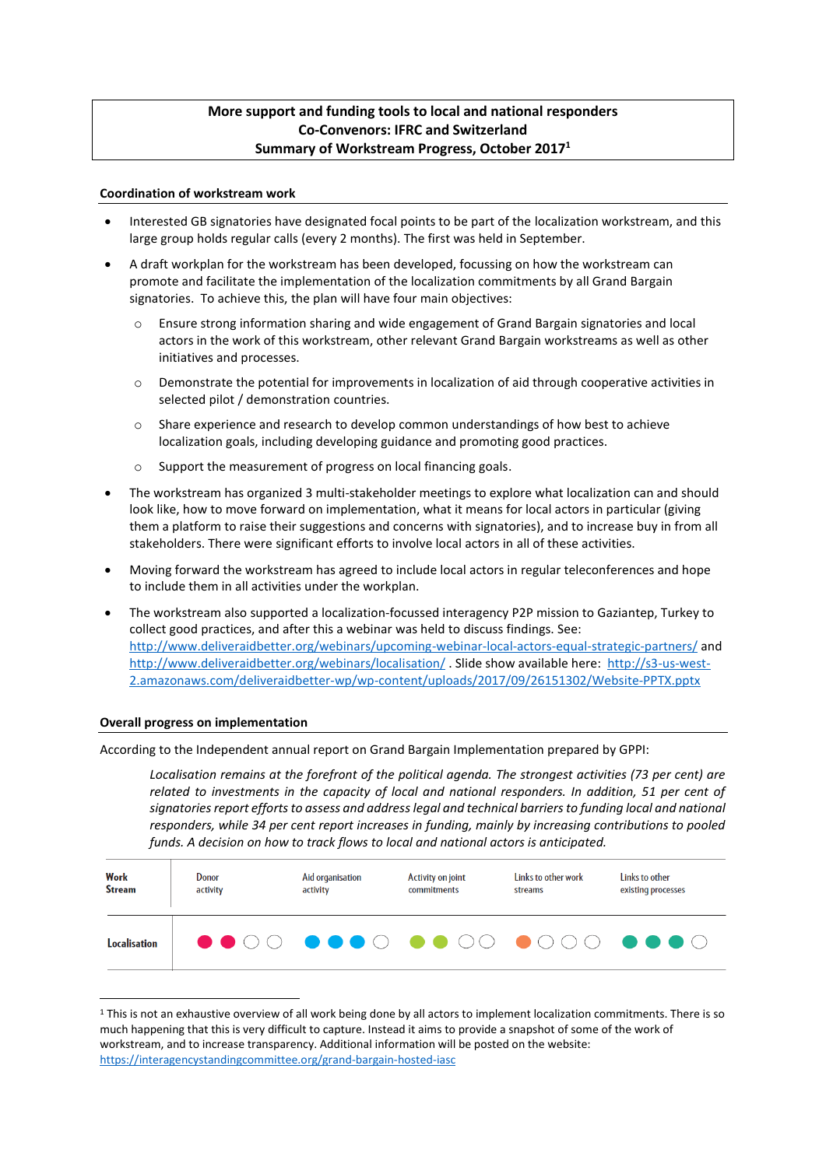# **More support and funding tools to local and national responders Co-Convenors: IFRC and Switzerland Summary of Workstream Progress, October 2017<sup>1</sup>**

## **Coordination of workstream work**

- Interested GB signatories have designated focal points to be part of the localization workstream, and this large group holds regular calls (every 2 months). The first was held in September.
- A draft workplan for the workstream has been developed, focussing on how the workstream can promote and facilitate the implementation of the localization commitments by all Grand Bargain signatories. To achieve this, the plan will have four main objectives:
	- o Ensure strong information sharing and wide engagement of Grand Bargain signatories and local actors in the work of this workstream, other relevant Grand Bargain workstreams as well as other initiatives and processes.
	- $\circ$  Demonstrate the potential for improvements in localization of aid through cooperative activities in selected pilot / demonstration countries.
	- o Share experience and research to develop common understandings of how best to achieve localization goals, including developing guidance and promoting good practices.
	- o Support the measurement of progress on local financing goals.
- The workstream has organized 3 multi-stakeholder meetings to explore what localization can and should look like, how to move forward on implementation, what it means for local actors in particular (giving them a platform to raise their suggestions and concerns with signatories), and to increase buy in from all stakeholders. There were significant efforts to involve local actors in all of these activities.
- Moving forward the workstream has agreed to include local actors in regular teleconferences and hope to include them in all activities under the workplan.
- The workstream also supported a localization-focussed interagency P2P mission to Gaziantep, Turkey to collect good practices, and after this a webinar was held to discuss findings. See: <http://www.deliveraidbetter.org/webinars/upcoming-webinar-local-actors-equal-strategic-partners/> and <http://www.deliveraidbetter.org/webinars/localisation/>. Slide show available here: [http://s3-us-west-](http://s3-us-west-2.amazonaws.com/deliveraidbetter-wp/wp-content/uploads/2017/09/26151302/Website-PPTX.pptx)[2.amazonaws.com/deliveraidbetter-wp/wp-content/uploads/2017/09/26151302/Website-PPTX.pptx](http://s3-us-west-2.amazonaws.com/deliveraidbetter-wp/wp-content/uploads/2017/09/26151302/Website-PPTX.pptx)

#### **Overall progress on implementation**

-

According to the Independent annual report on Grand Bargain Implementation prepared by GPPI:

*Localisation remains at the forefront of the political agenda. The strongest activities (73 per cent) are related to investments in the capacity of local and national responders. In addition, 51 per cent of signatories report efforts to assess and address legal and technical barriers to funding local and national responders, while 34 per cent report increases in funding, mainly by increasing contributions to pooled funds. A decision on how to track flows to local and national actors is anticipated.* 

| Work                | Donor    | Aid organisation | Activity on joint  | Links to other work | Links to other     |
|---------------------|----------|------------------|--------------------|---------------------|--------------------|
| <b>Stream</b>       | activity | activity         | <b>commitments</b> | streams             | existing processes |
| <b>Localisation</b> |          |                  |                    |                     |                    |

<sup>&</sup>lt;sup>1</sup> This is not an exhaustive overview of all work being done by all actors to implement localization commitments. There is so much happening that this is very difficult to capture. Instead it aims to provide a snapshot of some of the work of workstream, and to increase transparency. Additional information will be posted on the website: <https://interagencystandingcommittee.org/grand-bargain-hosted-iasc>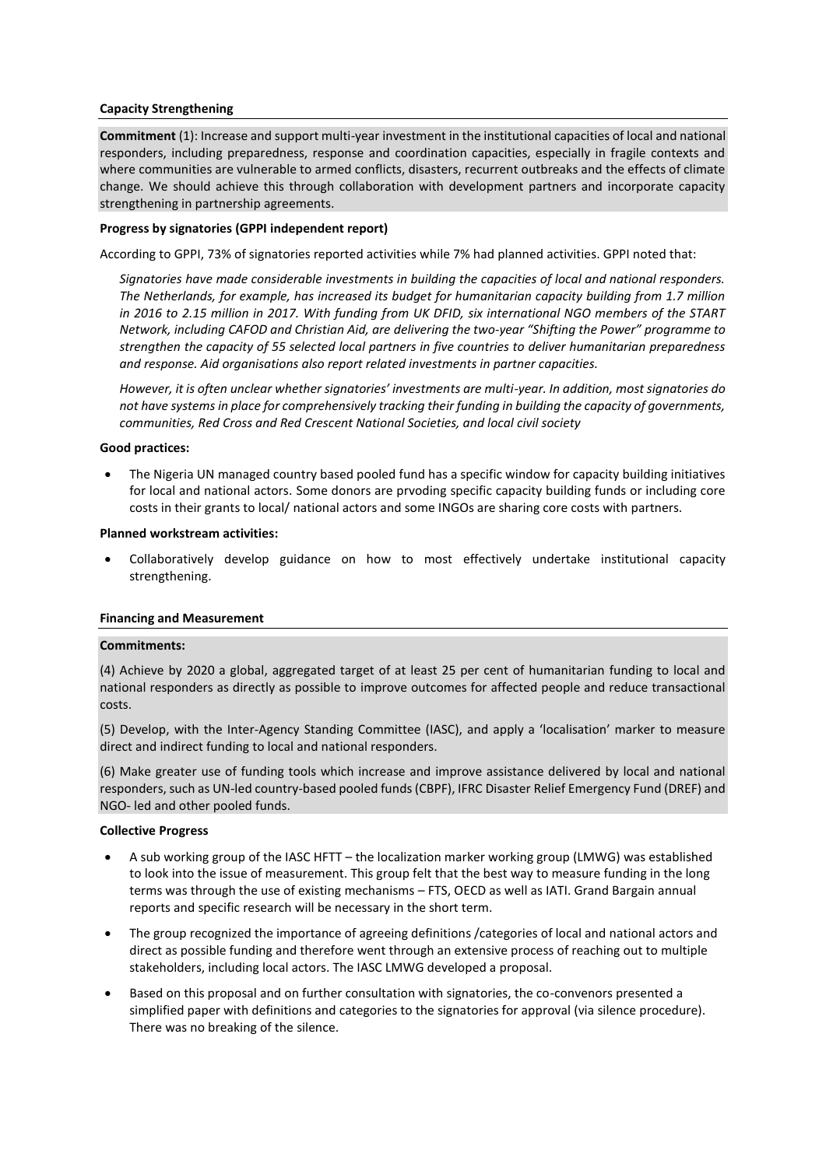# **Capacity Strengthening**

**Commitment** (1): Increase and support multi-year investment in the institutional capacities of local and national responders, including preparedness, response and coordination capacities, especially in fragile contexts and where communities are vulnerable to armed conflicts, disasters, recurrent outbreaks and the effects of climate change. We should achieve this through collaboration with development partners and incorporate capacity strengthening in partnership agreements.

# **Progress by signatories (GPPI independent report)**

According to GPPI, 73% of signatories reported activities while 7% had planned activities. GPPI noted that:

*Signatories have made considerable investments in building the capacities of local and national responders. The Netherlands, for example, has increased its budget for humanitarian capacity building from 1.7 million in 2016 to 2.15 million in 2017. With funding from UK DFID, six international NGO members of the START Network, including CAFOD and Christian Aid, are delivering the two-year "Shifting the Power" programme to strengthen the capacity of 55 selected local partners in five countries to deliver humanitarian preparedness and response. Aid organisations also report related investments in partner capacities.* 

*However, it is often unclear whether signatories' investments are multi-year. In addition, most signatories do not have systems in place for comprehensively tracking their funding in building the capacity of governments, communities, Red Cross and Red Crescent National Societies, and local civil society*

# **Good practices:**

 The Nigeria UN managed country based pooled fund has a specific window for capacity building initiatives for local and national actors. Some donors are prvoding specific capacity building funds or including core costs in their grants to local/ national actors and some INGOs are sharing core costs with partners.

## **Planned workstream activities:**

 Collaboratively develop guidance on how to most effectively undertake institutional capacity strengthening.

# **Financing and Measurement**

# **Commitments:**

(4) Achieve by 2020 a global, aggregated target of at least 25 per cent of humanitarian funding to local and national responders as directly as possible to improve outcomes for affected people and reduce transactional costs.

(5) Develop, with the Inter-Agency Standing Committee (IASC), and apply a 'localisation' marker to measure direct and indirect funding to local and national responders.

(6) Make greater use of funding tools which increase and improve assistance delivered by local and national responders, such as UN-led country-based pooled funds (CBPF), IFRC Disaster Relief Emergency Fund (DREF) and NGO- led and other pooled funds.

# **Collective Progress**

- A sub working group of the IASC HFTT the localization marker working group (LMWG) was established to look into the issue of measurement. This group felt that the best way to measure funding in the long terms was through the use of existing mechanisms – FTS, OECD as well as IATI. Grand Bargain annual reports and specific research will be necessary in the short term.
- The group recognized the importance of agreeing definitions /categories of local and national actors and direct as possible funding and therefore went through an extensive process of reaching out to multiple stakeholders, including local actors. The IASC LMWG developed a proposal.
- Based on this proposal and on further consultation with signatories, the co-convenors presented a simplified paper with definitions and categories to the signatories for approval (via silence procedure). There was no breaking of the silence.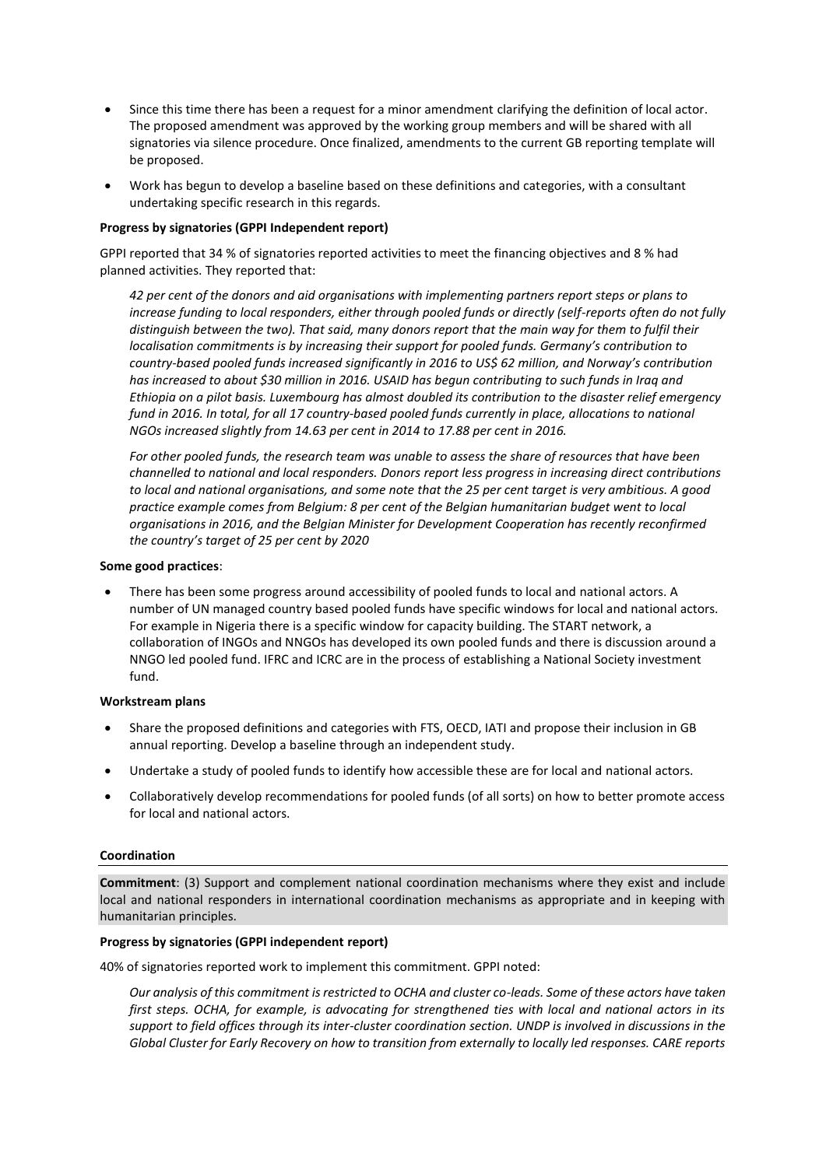- Since this time there has been a request for a minor amendment clarifying the definition of local actor. The proposed amendment was approved by the working group members and will be shared with all signatories via silence procedure. Once finalized, amendments to the current GB reporting template will be proposed.
- Work has begun to develop a baseline based on these definitions and categories, with a consultant undertaking specific research in this regards.

## **Progress by signatories (GPPI Independent report)**

GPPI reported that 34 % of signatories reported activities to meet the financing objectives and 8 % had planned activities. They reported that:

*42 per cent of the donors and aid organisations with implementing partners report steps or plans to increase funding to local responders, either through pooled funds or directly (self-reports often do not fully distinguish between the two). That said, many donors report that the main way for them to fulfil their localisation commitments is by increasing their support for pooled funds. Germany's contribution to country-based pooled funds increased significantly in 2016 to US\$ 62 million, and Norway's contribution has increased to about \$30 million in 2016. USAID has begun contributing to such funds in Iraq and Ethiopia on a pilot basis. Luxembourg has almost doubled its contribution to the disaster relief emergency fund in 2016. In total, for all 17 country-based pooled funds currently in place, allocations to national NGOs increased slightly from 14.63 per cent in 2014 to 17.88 per cent in 2016.*

*For other pooled funds, the research team was unable to assess the share of resources that have been channelled to national and local responders. Donors report less progress in increasing direct contributions to local and national organisations, and some note that the 25 per cent target is very ambitious. A good practice example comes from Belgium: 8 per cent of the Belgian humanitarian budget went to local organisations in 2016, and the Belgian Minister for Development Cooperation has recently reconfirmed the country's target of 25 per cent by 2020*

## **Some good practices**:

 There has been some progress around accessibility of pooled funds to local and national actors. A number of UN managed country based pooled funds have specific windows for local and national actors. For example in Nigeria there is a specific window for capacity building. The START network, a collaboration of INGOs and NNGOs has developed its own pooled funds and there is discussion around a NNGO led pooled fund. IFRC and ICRC are in the process of establishing a National Society investment fund.

#### **Workstream plans**

- Share the proposed definitions and categories with FTS, OECD, IATI and propose their inclusion in GB annual reporting. Develop a baseline through an independent study.
- Undertake a study of pooled funds to identify how accessible these are for local and national actors.
- Collaboratively develop recommendations for pooled funds (of all sorts) on how to better promote access for local and national actors.

# **Coordination**

**Commitment**: (3) Support and complement national coordination mechanisms where they exist and include local and national responders in international coordination mechanisms as appropriate and in keeping with humanitarian principles.

# **Progress by signatories (GPPI independent report)**

40% of signatories reported work to implement this commitment. GPPI noted:

*Our analysis of this commitment is restricted to OCHA and cluster co-leads. Some of these actors have taken first steps. OCHA, for example, is advocating for strengthened ties with local and national actors in its support to field offices through its inter-cluster coordination section. UNDP is involved in discussions in the Global Cluster for Early Recovery on how to transition from externally to locally led responses. CARE reports*